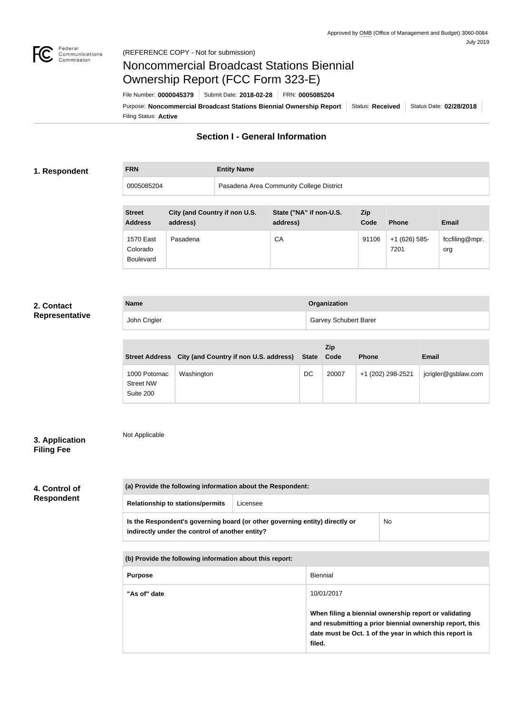

**FRN Entity Name**

# Noncommercial Broadcast Stations Biennial Ownership Report (FCC Form 323-E)

Filing Status: **Active** Purpose: Noncommercial Broadcast Stations Biennial Ownership Report Status: Received Status Date: 02/28/2018 File Number: **0000045379** Submit Date: **2018-02-28** FRN: **0005085204**

# **Section I - General Information**

#### **1. Respondent**

0005085204 Pasadena Area Community College District

| <b>Street</b><br><b>Address</b>           | City (and Country if non U.S.<br>address) | State ("NA" if non-U.S.<br>address) | Zip<br>Code | <b>Phone</b>            | <b>Email</b>          |
|-------------------------------------------|-------------------------------------------|-------------------------------------|-------------|-------------------------|-----------------------|
| 1570 East<br>Colorado<br><b>Boulevard</b> | Pasadena                                  | CA                                  | 91106       | $+1$ (626) 585-<br>7201 | fccfiling@mpr.<br>org |

#### **2. Contact Representative**

| <b>Name</b>  | Organization                 |
|--------------|------------------------------|
| John Crigler | <b>Garvey Schubert Barer</b> |

|                                               | Street Address City (and Country if non U.S. address) | State Code | Zip   | <b>Phone</b>      | <b>Email</b>        |
|-----------------------------------------------|-------------------------------------------------------|------------|-------|-------------------|---------------------|
| 1000 Potomac<br><b>Street NW</b><br>Suite 200 | Washington                                            | DC         | 20007 | +1 (202) 298-2521 | jcrigler@gsblaw.com |

### **3. Application Filing Fee**

Not Applicable

# **4. Control of Respondent**

| (a) Provide the following information about the Respondent:                                                                    |          |    |  |
|--------------------------------------------------------------------------------------------------------------------------------|----------|----|--|
| <b>Relationship to stations/permits</b>                                                                                        | Licensee |    |  |
| Is the Respondent's governing board (or other governing entity) directly or<br>indirectly under the control of another entity? |          | No |  |

**(b) Provide the following information about this report:**

| <b>Purpose</b> | Biennial                                                                                                                                                                               |
|----------------|----------------------------------------------------------------------------------------------------------------------------------------------------------------------------------------|
| "As of" date   | 10/01/2017                                                                                                                                                                             |
|                | When filing a biennial ownership report or validating<br>and resubmitting a prior biennial ownership report, this<br>date must be Oct. 1 of the year in which this report is<br>filed. |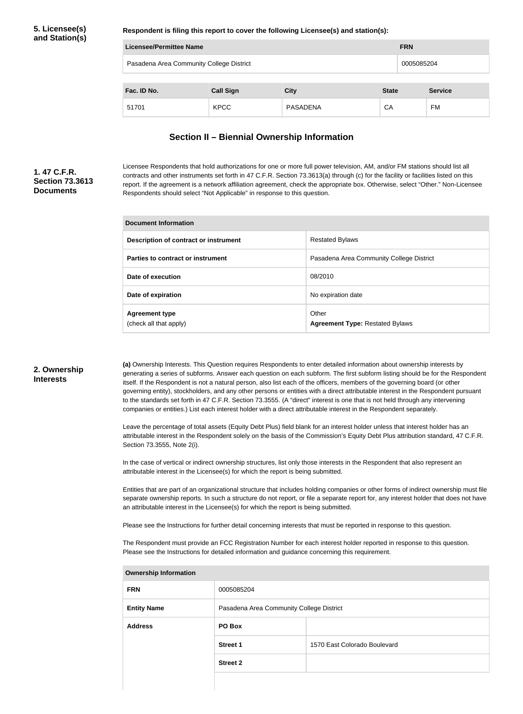#### **5. Licensee(s) and Station(s)**

**Respondent is filing this report to cover the following Licensee(s) and station(s):**

| Licensee/Permittee Name |                                          |                 |              | <b>FRN</b>     |  |
|-------------------------|------------------------------------------|-----------------|--------------|----------------|--|
|                         | Pasadena Area Community College District |                 |              | 0005085204     |  |
| Fac. ID No.             | <b>Call Sign</b>                         | <b>City</b>     | <b>State</b> | <b>Service</b> |  |
| 51701                   | <b>KPCC</b>                              | <b>PASADENA</b> | CA           | FM             |  |

### **Section II – Biennial Ownership Information**

#### **1. 47 C.F.R. Section 73.3613 Documents**

Licensee Respondents that hold authorizations for one or more full power television, AM, and/or FM stations should list all contracts and other instruments set forth in 47 C.F.R. Section 73.3613(a) through (c) for the facility or facilities listed on this report. If the agreement is a network affiliation agreement, check the appropriate box. Otherwise, select "Other." Non-Licensee Respondents should select "Not Applicable" in response to this question.

| Document Information                            |                                                 |  |
|-------------------------------------------------|-------------------------------------------------|--|
| Description of contract or instrument           | <b>Restated Bylaws</b>                          |  |
| Parties to contract or instrument               | Pasadena Area Community College District        |  |
| Date of execution                               | 08/2010                                         |  |
| Date of expiration                              | No expiration date                              |  |
| <b>Agreement type</b><br>(check all that apply) | Other<br><b>Agreement Type: Restated Bylaws</b> |  |

#### **2. Ownership Interests**

**(a)** Ownership Interests. This Question requires Respondents to enter detailed information about ownership interests by generating a series of subforms. Answer each question on each subform. The first subform listing should be for the Respondent itself. If the Respondent is not a natural person, also list each of the officers, members of the governing board (or other governing entity), stockholders, and any other persons or entities with a direct attributable interest in the Respondent pursuant to the standards set forth in 47 C.F.R. Section 73.3555. (A "direct" interest is one that is not held through any intervening companies or entities.) List each interest holder with a direct attributable interest in the Respondent separately.

Leave the percentage of total assets (Equity Debt Plus) field blank for an interest holder unless that interest holder has an attributable interest in the Respondent solely on the basis of the Commission's Equity Debt Plus attribution standard, 47 C.F.R. Section 73.3555, Note 2(i).

In the case of vertical or indirect ownership structures, list only those interests in the Respondent that also represent an attributable interest in the Licensee(s) for which the report is being submitted.

Entities that are part of an organizational structure that includes holding companies or other forms of indirect ownership must file separate ownership reports. In such a structure do not report, or file a separate report for, any interest holder that does not have an attributable interest in the Licensee(s) for which the report is being submitted.

Please see the Instructions for further detail concerning interests that must be reported in response to this question.

The Respondent must provide an FCC Registration Number for each interest holder reported in response to this question. Please see the Instructions for detailed information and guidance concerning this requirement.

| <b>Ownership Information</b> |                                          |                              |  |  |
|------------------------------|------------------------------------------|------------------------------|--|--|
| <b>FRN</b>                   | 0005085204                               |                              |  |  |
| <b>Entity Name</b>           | Pasadena Area Community College District |                              |  |  |
| <b>Address</b>               | PO Box                                   |                              |  |  |
|                              | <b>Street 1</b>                          | 1570 East Colorado Boulevard |  |  |
|                              | <b>Street 2</b>                          |                              |  |  |
|                              |                                          |                              |  |  |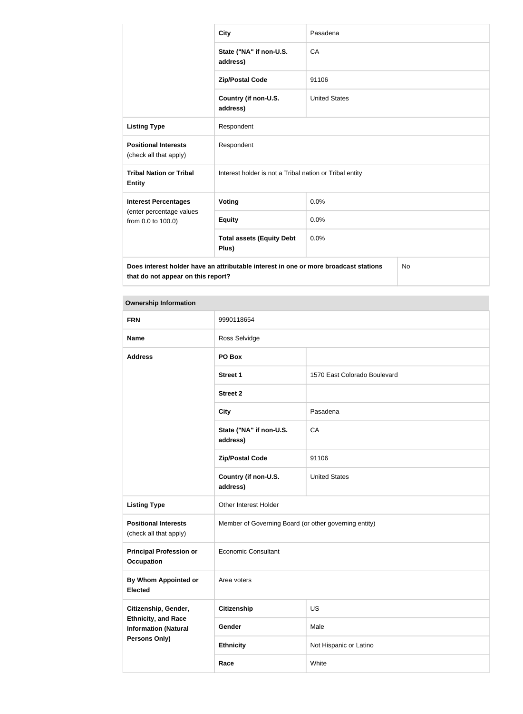|                                                                                            | <b>City</b>                                             | Pasadena             |  |
|--------------------------------------------------------------------------------------------|---------------------------------------------------------|----------------------|--|
|                                                                                            | State ("NA" if non-U.S.<br>address)                     | CA                   |  |
|                                                                                            | <b>Zip/Postal Code</b>                                  | 91106                |  |
|                                                                                            | Country (if non-U.S.<br>address)                        | <b>United States</b> |  |
| <b>Listing Type</b>                                                                        | Respondent                                              |                      |  |
| <b>Positional Interests</b><br>(check all that apply)                                      | Respondent                                              |                      |  |
| <b>Tribal Nation or Tribal</b><br><b>Entity</b>                                            | Interest holder is not a Tribal nation or Tribal entity |                      |  |
| <b>Interest Percentages</b>                                                                | Voting                                                  | 0.0%                 |  |
| (enter percentage values<br>from 0.0 to 100.0)                                             | <b>Equity</b>                                           | 0.0%                 |  |
|                                                                                            | <b>Total assets (Equity Debt</b><br>Plus)               | 0.0%                 |  |
| Does interest holder have an attributable interest in one or more broadcast stations<br>No |                                                         |                      |  |

**that do not appear on this report?**

No

| <b>Ownership Information</b>                              |                                                       |                              |  |
|-----------------------------------------------------------|-------------------------------------------------------|------------------------------|--|
| <b>FRN</b>                                                | 9990118654                                            |                              |  |
| <b>Name</b>                                               | Ross Selvidge                                         |                              |  |
| <b>Address</b>                                            | PO Box                                                |                              |  |
|                                                           | <b>Street 1</b>                                       | 1570 East Colorado Boulevard |  |
|                                                           | <b>Street 2</b>                                       |                              |  |
|                                                           | <b>City</b>                                           | Pasadena                     |  |
|                                                           | State ("NA" if non-U.S.<br>address)                   | CA                           |  |
|                                                           | <b>Zip/Postal Code</b>                                | 91106                        |  |
|                                                           | Country (if non-U.S.<br>address)                      | <b>United States</b>         |  |
| <b>Listing Type</b>                                       | Other Interest Holder                                 |                              |  |
| <b>Positional Interests</b><br>(check all that apply)     | Member of Governing Board (or other governing entity) |                              |  |
| <b>Principal Profession or</b><br><b>Occupation</b>       | <b>Economic Consultant</b>                            |                              |  |
| <b>By Whom Appointed or</b><br><b>Elected</b>             | Area voters                                           |                              |  |
| Citizenship, Gender,                                      | <b>Citizenship</b>                                    | <b>US</b>                    |  |
| <b>Ethnicity, and Race</b><br><b>Information (Natural</b> | Gender                                                | Male                         |  |
| Persons Only)                                             | <b>Ethnicity</b>                                      | Not Hispanic or Latino       |  |
|                                                           | Race                                                  | White                        |  |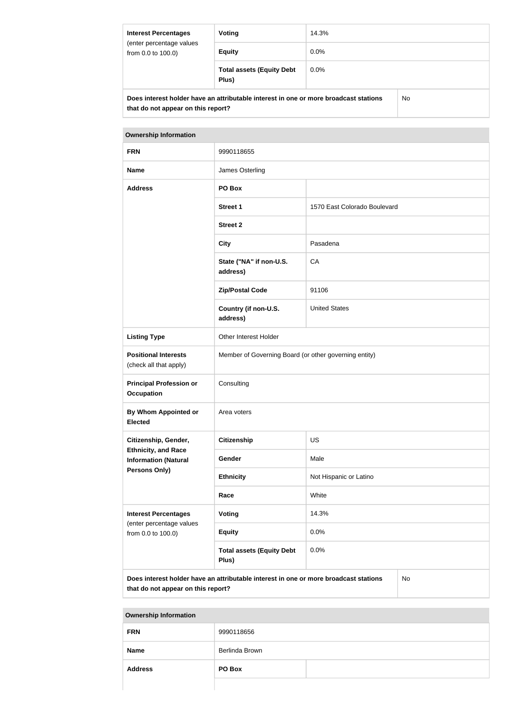| <b>Interest Percentages</b><br>(enter percentage values<br>from 0.0 to 100.0) | Voting                                                                                | 14.3%   |    |
|-------------------------------------------------------------------------------|---------------------------------------------------------------------------------------|---------|----|
|                                                                               | <b>Equity</b>                                                                         | $0.0\%$ |    |
|                                                                               | <b>Total assets (Equity Debt</b><br>Plus)                                             | $0.0\%$ |    |
|                                                                               | Does interest holder have an attributable interest in one or more broadcast stations. |         | N۵ |

**Does interest holder have an attributable interest in one or more broadcast stations that do not appear on this report?**

No

| <b>Ownership Information</b>                                                               |                                                       |                              |  |  |
|--------------------------------------------------------------------------------------------|-------------------------------------------------------|------------------------------|--|--|
| <b>FRN</b>                                                                                 | 9990118655                                            |                              |  |  |
| <b>Name</b>                                                                                | James Osterling                                       |                              |  |  |
| <b>Address</b>                                                                             | PO Box                                                |                              |  |  |
|                                                                                            | <b>Street 1</b>                                       | 1570 East Colorado Boulevard |  |  |
|                                                                                            | <b>Street 2</b>                                       |                              |  |  |
|                                                                                            | <b>City</b>                                           | Pasadena                     |  |  |
|                                                                                            | State ("NA" if non-U.S.<br>address)                   | CA                           |  |  |
|                                                                                            | <b>Zip/Postal Code</b>                                | 91106                        |  |  |
|                                                                                            | Country (if non-U.S.<br>address)                      | <b>United States</b>         |  |  |
| <b>Listing Type</b>                                                                        | Other Interest Holder                                 |                              |  |  |
| <b>Positional Interests</b><br>(check all that apply)                                      | Member of Governing Board (or other governing entity) |                              |  |  |
| <b>Principal Profession or</b><br><b>Occupation</b>                                        | Consulting                                            |                              |  |  |
| By Whom Appointed or<br><b>Elected</b>                                                     | Area voters                                           |                              |  |  |
| Citizenship, Gender,                                                                       | Citizenship                                           | <b>US</b>                    |  |  |
| <b>Ethnicity, and Race</b><br><b>Information (Natural</b>                                  | Gender                                                | Male                         |  |  |
| Persons Only)                                                                              | <b>Ethnicity</b>                                      | Not Hispanic or Latino       |  |  |
|                                                                                            | Race                                                  | White                        |  |  |
| <b>Interest Percentages</b><br>(enter percentage values                                    | Voting                                                | 14.3%                        |  |  |
| from 0.0 to 100.0)                                                                         | <b>Equity</b>                                         | 0.0%                         |  |  |
|                                                                                            | <b>Total assets (Equity Debt</b><br>Plus)             | 0.0%                         |  |  |
| Does interest holder have an attributable interest in one or more broadcast stations<br>No |                                                       |                              |  |  |

**that do not appear on this report?**

**Ownership Information**

| <b>FRN</b>     | 9990118656     |  |
|----------------|----------------|--|
| <b>Name</b>    | Berlinda Brown |  |
| <b>Address</b> | PO Box         |  |
|                |                |  |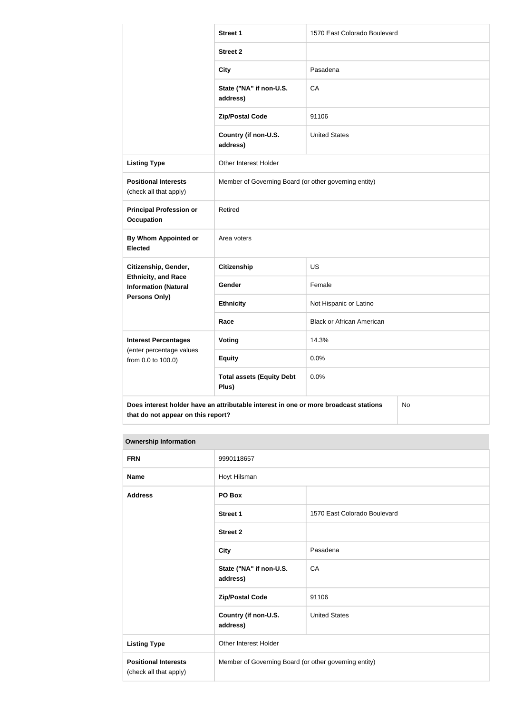|                                                           | <b>Street 1</b>                                                                      | 1570 East Colorado Boulevard     |  |
|-----------------------------------------------------------|--------------------------------------------------------------------------------------|----------------------------------|--|
|                                                           | <b>Street 2</b>                                                                      |                                  |  |
|                                                           | <b>City</b>                                                                          | Pasadena                         |  |
|                                                           | State ("NA" if non-U.S.<br>address)                                                  | CA                               |  |
|                                                           | <b>Zip/Postal Code</b>                                                               | 91106                            |  |
|                                                           | Country (if non-U.S.<br>address)                                                     | <b>United States</b>             |  |
| <b>Listing Type</b>                                       | Other Interest Holder                                                                |                                  |  |
| <b>Positional Interests</b><br>(check all that apply)     | Member of Governing Board (or other governing entity)                                |                                  |  |
| <b>Principal Profession or</b><br><b>Occupation</b>       | Retired                                                                              |                                  |  |
| By Whom Appointed or<br><b>Elected</b>                    | Area voters                                                                          |                                  |  |
| Citizenship, Gender,                                      | Citizenship                                                                          | <b>US</b>                        |  |
| <b>Ethnicity, and Race</b><br><b>Information (Natural</b> | Gender                                                                               | Female                           |  |
| <b>Persons Only)</b>                                      | <b>Ethnicity</b>                                                                     | Not Hispanic or Latino           |  |
|                                                           | Race                                                                                 | <b>Black or African American</b> |  |
| <b>Interest Percentages</b>                               | Voting                                                                               | 14.3%                            |  |
| (enter percentage values<br>from 0.0 to 100.0)            | <b>Equity</b>                                                                        | 0.0%                             |  |
|                                                           | <b>Total assets (Equity Debt</b><br>Plus)                                            | 0.0%                             |  |
|                                                           | Does interest holder have an attributable interest in one or more broadcast stations | No                               |  |

# **that do not appear on this report?**

| <b>Ownership Information</b>                          |                                                       |                              |  |
|-------------------------------------------------------|-------------------------------------------------------|------------------------------|--|
| <b>FRN</b>                                            | 9990118657                                            |                              |  |
| <b>Name</b>                                           | Hoyt Hilsman                                          |                              |  |
| <b>Address</b>                                        | PO Box                                                |                              |  |
|                                                       | <b>Street 1</b>                                       | 1570 East Colorado Boulevard |  |
|                                                       | <b>Street 2</b>                                       |                              |  |
|                                                       | <b>City</b>                                           | Pasadena                     |  |
|                                                       | State ("NA" if non-U.S.<br>address)                   | CA                           |  |
|                                                       | <b>Zip/Postal Code</b>                                | 91106                        |  |
|                                                       | Country (if non-U.S.<br>address)                      | <b>United States</b>         |  |
| <b>Listing Type</b>                                   | <b>Other Interest Holder</b>                          |                              |  |
| <b>Positional Interests</b><br>(check all that apply) | Member of Governing Board (or other governing entity) |                              |  |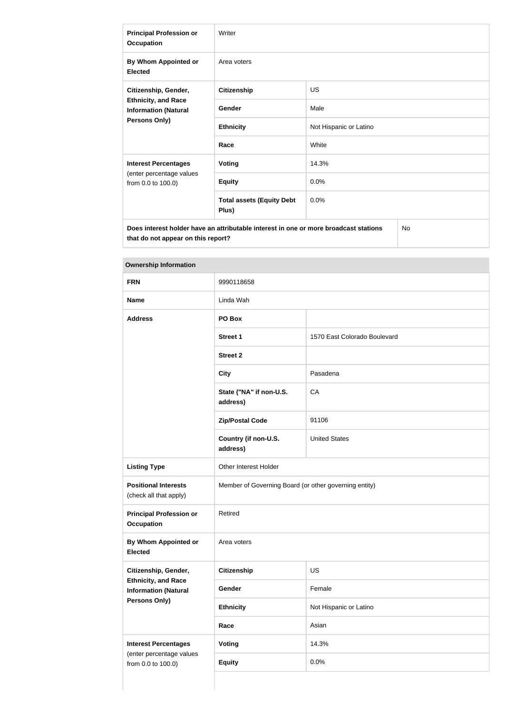| <b>Principal Profession or</b><br><b>Occupation</b>                                                | Writer                                    |                        |  |
|----------------------------------------------------------------------------------------------------|-------------------------------------------|------------------------|--|
| By Whom Appointed or<br><b>Elected</b>                                                             | Area voters                               |                        |  |
| Citizenship, Gender,<br><b>Ethnicity, and Race</b><br><b>Information (Natural</b><br>Persons Only) | <b>Citizenship</b>                        | <b>US</b>              |  |
|                                                                                                    | Gender                                    | Male                   |  |
|                                                                                                    | <b>Ethnicity</b>                          | Not Hispanic or Latino |  |
|                                                                                                    | Race                                      | White                  |  |
| <b>Interest Percentages</b>                                                                        | Voting                                    | 14.3%                  |  |
| (enter percentage values<br>from 0.0 to 100.0)                                                     | <b>Equity</b>                             | 0.0%                   |  |
|                                                                                                    | <b>Total assets (Equity Debt</b><br>Plus) | 0.0%                   |  |
| No.<br>Does interest holder have an attributable interest in one or more broadcast stations        |                                           |                        |  |

**that do not appear on this report?**

| <b>Ownership Information</b>                                               |                                                       |                              |  |
|----------------------------------------------------------------------------|-------------------------------------------------------|------------------------------|--|
| <b>FRN</b>                                                                 | 9990118658                                            |                              |  |
| <b>Name</b>                                                                | Linda Wah                                             |                              |  |
| <b>Address</b>                                                             | PO Box                                                |                              |  |
|                                                                            | <b>Street 1</b>                                       | 1570 East Colorado Boulevard |  |
|                                                                            | <b>Street 2</b>                                       |                              |  |
|                                                                            | <b>City</b>                                           | Pasadena                     |  |
|                                                                            | State ("NA" if non-U.S.<br>address)                   | CA                           |  |
|                                                                            | <b>Zip/Postal Code</b>                                | 91106                        |  |
|                                                                            | Country (if non-U.S.<br>address)                      | <b>United States</b>         |  |
| <b>Listing Type</b>                                                        | Other Interest Holder                                 |                              |  |
| <b>Positional Interests</b><br>(check all that apply)                      | Member of Governing Board (or other governing entity) |                              |  |
| <b>Principal Profession or</b><br><b>Occupation</b>                        | Retired                                               |                              |  |
| By Whom Appointed or<br><b>Elected</b>                                     | Area voters                                           |                              |  |
| Citizenship, Gender,                                                       | <b>Citizenship</b>                                    | <b>US</b>                    |  |
| <b>Ethnicity, and Race</b><br><b>Information (Natural</b><br>Persons Only) | Gender                                                | Female                       |  |
|                                                                            | <b>Ethnicity</b>                                      | Not Hispanic or Latino       |  |
|                                                                            | Race                                                  | Asian                        |  |
| <b>Interest Percentages</b>                                                | <b>Voting</b>                                         | 14.3%                        |  |
| (enter percentage values<br>from 0.0 to 100.0)                             | <b>Equity</b>                                         | 0.0%                         |  |
|                                                                            |                                                       |                              |  |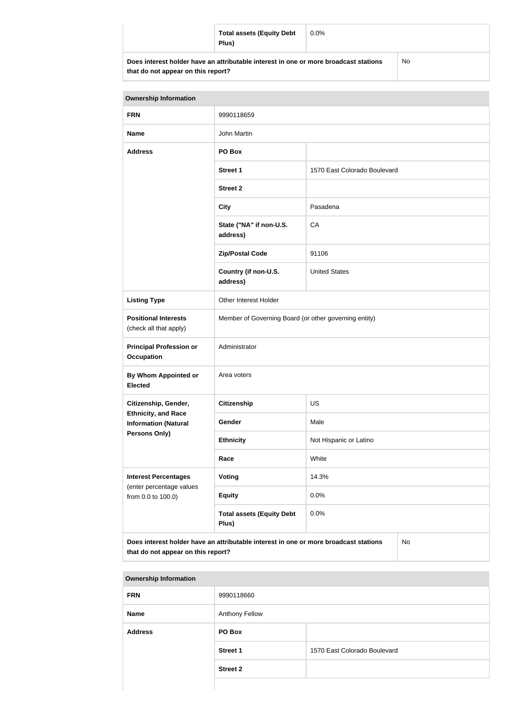| <b>Total assets (Equity Debt</b><br>Plus)                                            | $0.0\%$ |     |
|--------------------------------------------------------------------------------------|---------|-----|
| Does interest holder have an attributable interest in one or more broadcast stations |         | No. |

| that do not appear on this report? |  |  |  |  |
|------------------------------------|--|--|--|--|
|------------------------------------|--|--|--|--|

No

| <b>Ownership Information</b>                                                                                                     |                                                       |                              |  |
|----------------------------------------------------------------------------------------------------------------------------------|-------------------------------------------------------|------------------------------|--|
| <b>FRN</b>                                                                                                                       | 9990118659                                            |                              |  |
| <b>Name</b>                                                                                                                      | John Martin                                           |                              |  |
| <b>Address</b>                                                                                                                   | PO Box                                                |                              |  |
|                                                                                                                                  | <b>Street 1</b>                                       | 1570 East Colorado Boulevard |  |
|                                                                                                                                  | <b>Street 2</b>                                       |                              |  |
|                                                                                                                                  | <b>City</b>                                           | Pasadena                     |  |
|                                                                                                                                  | State ("NA" if non-U.S.<br>address)                   | CA                           |  |
|                                                                                                                                  | <b>Zip/Postal Code</b>                                | 91106                        |  |
|                                                                                                                                  | Country (if non-U.S.<br>address)                      | <b>United States</b>         |  |
| <b>Listing Type</b>                                                                                                              | Other Interest Holder                                 |                              |  |
| <b>Positional Interests</b><br>(check all that apply)                                                                            | Member of Governing Board (or other governing entity) |                              |  |
| <b>Principal Profession or</b><br><b>Occupation</b>                                                                              | Administrator                                         |                              |  |
| By Whom Appointed or<br><b>Elected</b>                                                                                           | Area voters                                           |                              |  |
| Citizenship, Gender,                                                                                                             | <b>Citizenship</b><br><b>US</b>                       |                              |  |
| <b>Ethnicity, and Race</b><br><b>Information (Natural</b>                                                                        | Gender                                                | Male                         |  |
| <b>Persons Only)</b>                                                                                                             | <b>Ethnicity</b>                                      | Not Hispanic or Latino       |  |
|                                                                                                                                  | Race                                                  | White                        |  |
| <b>Interest Percentages</b>                                                                                                      | Voting                                                | 14.3%                        |  |
| (enter percentage values<br>from 0.0 to 100.0)                                                                                   | <b>Equity</b>                                         | 0.0%                         |  |
|                                                                                                                                  | <b>Total assets (Equity Debt</b><br>Plus)             | 0.0%                         |  |
| Does interest holder have an attributable interest in one or more broadcast stations<br>No<br>that do not appear on this report? |                                                       |                              |  |

| <b>Ownership Information</b> |                       |                              |
|------------------------------|-----------------------|------------------------------|
| <b>FRN</b>                   | 9990118660            |                              |
| <b>Name</b>                  | <b>Anthony Fellow</b> |                              |
| <b>Address</b>               | PO Box                |                              |
|                              | <b>Street 1</b>       | 1570 East Colorado Boulevard |
|                              | <b>Street 2</b>       |                              |
|                              |                       |                              |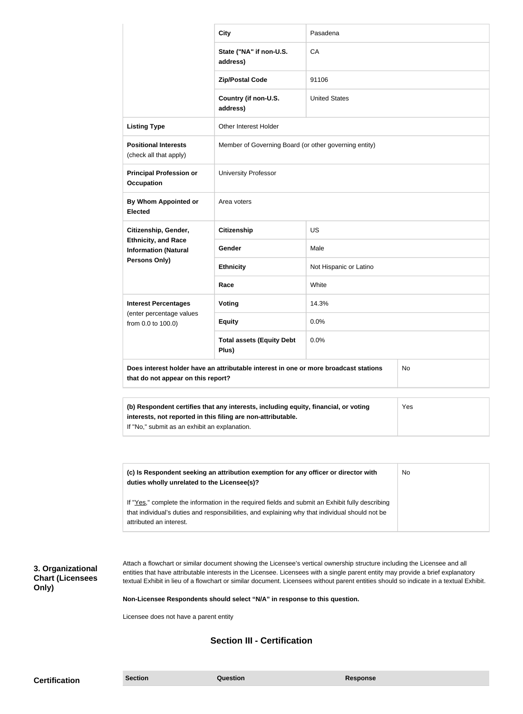|                                                                                                                                                                                                             | <b>City</b>                                           | Pasadena               |  |  |
|-------------------------------------------------------------------------------------------------------------------------------------------------------------------------------------------------------------|-------------------------------------------------------|------------------------|--|--|
|                                                                                                                                                                                                             | State ("NA" if non-U.S.<br>address)                   | CA                     |  |  |
|                                                                                                                                                                                                             | <b>Zip/Postal Code</b>                                | 91106                  |  |  |
|                                                                                                                                                                                                             | Country (if non-U.S.<br>address)                      | <b>United States</b>   |  |  |
| <b>Listing Type</b>                                                                                                                                                                                         | <b>Other Interest Holder</b>                          |                        |  |  |
| <b>Positional Interests</b><br>(check all that apply)                                                                                                                                                       | Member of Governing Board (or other governing entity) |                        |  |  |
| <b>Principal Profession or</b><br><b>Occupation</b>                                                                                                                                                         | <b>University Professor</b>                           |                        |  |  |
| By Whom Appointed or<br><b>Elected</b>                                                                                                                                                                      | Area voters                                           |                        |  |  |
| Citizenship, Gender,                                                                                                                                                                                        | Citizenship                                           | <b>US</b>              |  |  |
| <b>Ethnicity, and Race</b><br><b>Information (Natural</b>                                                                                                                                                   | Gender                                                | Male                   |  |  |
| Persons Only)                                                                                                                                                                                               | <b>Ethnicity</b>                                      | Not Hispanic or Latino |  |  |
|                                                                                                                                                                                                             | Race                                                  | White                  |  |  |
| <b>Interest Percentages</b><br>(enter percentage values                                                                                                                                                     | Voting                                                | 14.3%                  |  |  |
| from 0.0 to 100.0)                                                                                                                                                                                          | <b>Equity</b>                                         | 0.0%                   |  |  |
|                                                                                                                                                                                                             | <b>Total assets (Equity Debt</b><br>Plus)             | 0.0%                   |  |  |
| Does interest holder have an attributable interest in one or more broadcast stations<br><b>No</b><br>that do not appear on this report?                                                                     |                                                       |                        |  |  |
| (b) Respondent certifies that any interests, including equity, financial, or voting<br>Yes<br>interests, not reported in this filing are non-attributable.<br>If "No," submit as an exhibit an explanation. |                                                       |                        |  |  |

| (c) Is Respondent seeking an attribution exemption for any officer or director with<br>duties wholly unrelated to the Licensee(s)? | No |
|------------------------------------------------------------------------------------------------------------------------------------|----|
| If "Yes," complete the information in the required fields and submit an Exhibit fully describing                                   |    |
| that individual's duties and responsibilities, and explaining why that individual should not be                                    |    |
| attributed an interest.                                                                                                            |    |

# **3. Organizational Chart (Licensees Only)**

Attach a flowchart or similar document showing the Licensee's vertical ownership structure including the Licensee and all entities that have attributable interests in the Licensee. Licensees with a single parent entity may provide a brief explanatory textual Exhibit in lieu of a flowchart or similar document. Licensees without parent entities should so indicate in a textual Exhibit.

**Non-Licensee Respondents should select "N/A" in response to this question.**

Licensee does not have a parent entity

## **Section III - Certification**